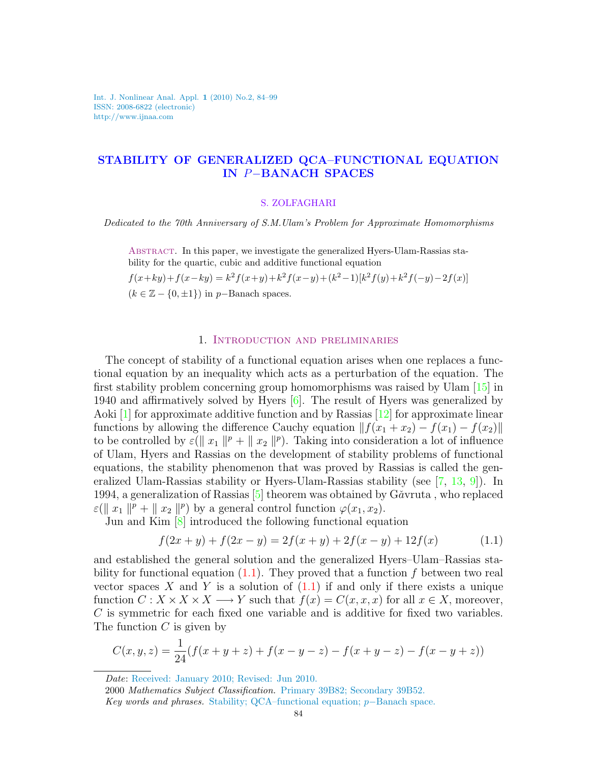Int. J. Nonlinear Anal. Appl. 1 (2010) No.2, 84–99 ISSN: 2008-6822 (electronic) http://www.ijnaa.com

# STABILITY OF GENERALIZED QCA–FUNCTIONAL EQUATION IN P−BANACH SPACES

#### S. ZOLFAGHARI

Dedicated to the 70th Anniversary of S.M.Ulam's Problem for Approximate Homomorphisms

Abstract. In this paper, we investigate the generalized Hyers-Ulam-Rassias stability for the quartic, cubic and additive functional equation

$$
f(x+ky) + f(x-ky) = k^2 f(x+y) + k^2 f(x-y) + (k^2 - 1)[k^2 f(y) + k^2 f(-y) - 2f(x)]
$$
  
( $k \in \mathbb{Z} - \{0, \pm 1\}$ ) in p–Banach spaces.

#### 1. Introduction and preliminaries

The concept of stability of a functional equation arises when one replaces a functional equation by an inequality which acts as a perturbation of the equation. The first stability problem concerning group homomorphisms was raised by Ulam [\[15\]](#page-15-0) in 1940 and affirmatively solved by Hyers [\[6\]](#page-15-1). The result of Hyers was generalized by Aoki [\[1\]](#page-14-0) for approximate additive function and by Rassias [\[12\]](#page-15-2) for approximate linear functions by allowing the difference Cauchy equation  $|| f(x_1 + x_2) - f(x_1) - f(x_2)||$ to be controlled by  $\varepsilon(\parallel x_1 \parallel^p + \parallel x_2 \parallel^p)$ . Taking into consideration a lot of influence of Ulam, Hyers and Rassias on the development of stability problems of functional equations, the stability phenomenon that was proved by Rassias is called the generalized Ulam-Rassias stability or Hyers-Ulam-Rassias stability (see [\[7,](#page-15-3) [13,](#page-15-4) [9\]](#page-15-5)). In 1994, a generalization of Rassias  $[5]$  theorem was obtained by G $\check{a}$ vruta, who replaced  $\varepsilon(\parallel x_1 \parallel^p + \parallel x_2 \parallel^p)$  by a general control function  $\varphi(x_1, x_2)$ .

Jun and Kim [\[8\]](#page-15-7) introduced the following functional equation

<span id="page-0-0"></span>
$$
f(2x + y) + f(2x - y) = 2f(x + y) + 2f(x - y) + 12f(x)
$$
\n(1.1)

and established the general solution and the generalized Hyers–Ulam–Rassias stability for functional equation  $(1.1)$ . They proved that a function f between two real vector spaces X and Y is a solution of  $(1.1)$  if and only if there exists a unique function  $C: X \times X \times X \longrightarrow Y$  such that  $f(x) = C(x, x, x)$  for all  $x \in X$ , moreover, C is symmetric for each fixed one variable and is additive for fixed two variables. The function  $C$  is given by

$$
C(x, y, z) = \frac{1}{24}(f(x + y + z) + f(x - y - z) - f(x + y - z) - f(x - y + z))
$$

Date: Received: January 2010; Revised: Jun 2010.

<sup>2000</sup> Mathematics Subject Classification. Primary 39B82; Secondary 39B52. Key words and phrases. Stability; QCA–functional equation;  $p$ –Banach space.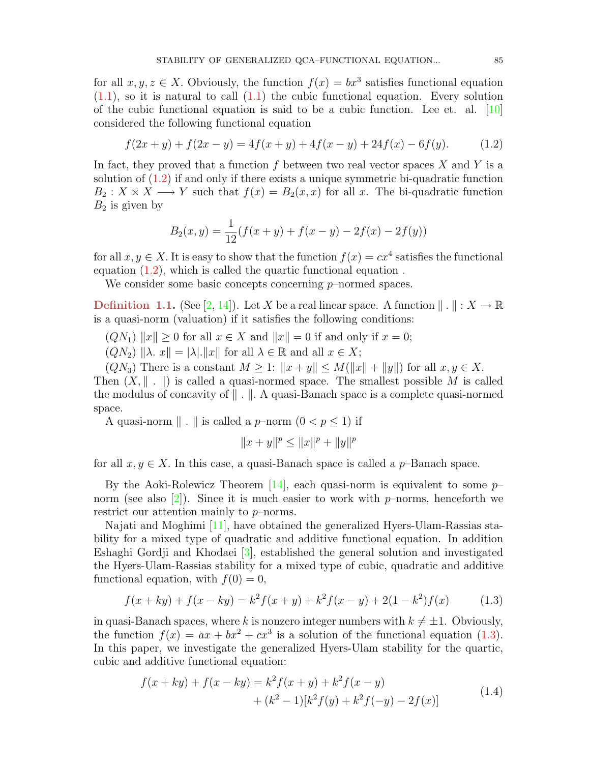for all  $x, y, z \in X$ . Obviously, the function  $f(x) = bx^3$  satisfies functional equation  $(1.1)$ , so it is natural to call  $(1.1)$  the cubic functional equation. Every solution of the cubic functional equation is said to be a cubic function. Lee et. al. [\[10\]](#page-15-8) considered the following functional equation

$$
f(2x + y) + f(2x - y) = 4f(x + y) + 4f(x - y) + 24f(x) - 6f(y).
$$
 (1.2)

In fact, they proved that a function f between two real vector spaces  $X$  and  $Y$  is a solution of [\(1.2\)](#page-1-0) if and only if there exists a unique symmetric bi-quadratic function  $B_2: X \times X \longrightarrow Y$  such that  $f(x) = B_2(x, x)$  for all x. The bi-quadratic function  $B_2$  is given by

<span id="page-1-0"></span>
$$
B_2(x, y) = \frac{1}{12}(f(x+y) + f(x-y) - 2f(x) - 2f(y))
$$

for all  $x, y \in X$ . It is easy to show that the function  $f(x) = cx^4$  satisfies the functional equation [\(1.2\)](#page-1-0), which is called the quartic functional equation .

We consider some basic concepts concerning p–normed spaces.

**Definition 1.1.** (See [\[2,](#page-14-1) [14\]](#page-15-9)). Let X be a real linear space. A function  $\| \cdot \| : X \to \mathbb{R}$ is a quasi-norm (valuation) if it satisfies the following conditions:

 $(QN_1)$   $||x|| > 0$  for all  $x \in X$  and  $||x|| = 0$  if and only if  $x = 0$ ;

 $(QN_2)$   $\|\lambda. x\| = |\lambda|. \|x\|$  for all  $\lambda \in \mathbb{R}$  and all  $x \in X$ ;

 $(QN_3)$  There is a constant  $M \geq 1$ :  $||x + y|| \leq M(||x|| + ||y||)$  for all  $x, y \in X$ . Then  $(X, \| \cdot \|)$  is called a quasi-normed space. The smallest possible M is called the modulus of concavity of  $\| \cdot \|$ . A quasi-Banach space is a complete quasi-normed space.

A quasi-norm  $\| \cdot \|$  is called a p–norm  $(0 < p \le 1)$  if

<span id="page-1-1"></span>
$$
||x + y||^p \le ||x||^p + ||y||^p
$$

for all  $x, y \in X$ . In this case, a quasi-Banach space is called a p–Banach space.

By the Aoki-Rolewicz Theorem  $|14|$ , each quasi-norm is equivalent to some  $p-$ norm (see also [\[2\]](#page-14-1)). Since it is much easier to work with  $p$ –norms, henceforth we restrict our attention mainly to p–norms.

Najati and Moghimi [\[11\]](#page-15-10), have obtained the generalized Hyers-Ulam-Rassias stability for a mixed type of quadratic and additive functional equation. In addition Eshaghi Gordji and Khodaei [\[3\]](#page-14-2), established the general solution and investigated the Hyers-Ulam-Rassias stability for a mixed type of cubic, quadratic and additive functional equation, with  $f(0) = 0$ ,

$$
f(x+ky) + f(x-ky) = k^2 f(x+y) + k^2 f(x-y) + 2(1-k^2)f(x)
$$
 (1.3)

in quasi-Banach spaces, where k is nonzero integer numbers with  $k \neq \pm 1$ . Obviously, the function  $f(x) = ax + bx^2 + cx^3$  is a solution of the functional equation [\(1.3\)](#page-1-1). In this paper, we investigate the generalized Hyers-Ulam stability for the quartic, cubic and additive functional equation:

<span id="page-1-2"></span>
$$
f(x+ky) + f(x-ky) = k^2 f(x+y) + k^2 f(x-y)
$$
  
+ 
$$
(k^2 - 1)[k^2 f(y) + k^2 f(-y) - 2f(x)]
$$
 (1.4)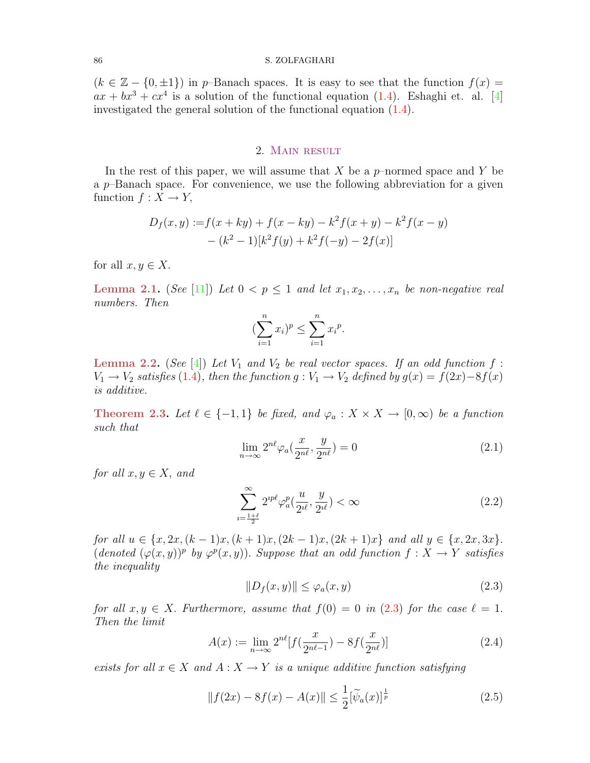#### 86 S. ZOLFAGHARI

 $(k \in \mathbb{Z} - \{0, \pm 1\})$  in p–Banach spaces. It is easy to see that the function  $f(x) =$  $ax + bx^3 + cx^4$  is a solution of the functional equation [\(1.4\)](#page-1-2). Eshaghi et. al. [\[4\]](#page-14-3) investigated the general solution of the functional equation [\(1.4\)](#page-1-2).

## 2. Main result

In the rest of this paper, we will assume that X be a  $p$ -normed space and Y be a  $p$ –Banach space. For convenience, we use the following abbreviation for a given function  $f: X \to Y$ ,

$$
D_f(x, y) := f(x + ky) + f(x - ky) - k^2 f(x + y) - k^2 f(x - y)
$$

$$
- (k^2 - 1)[k^2 f(y) + k^2 f(-y) - 2f(x)]
$$

<span id="page-2-1"></span>for all  $x, y \in X$ .

**Lemma 2.1.** (See [\[11\]](#page-15-10)) Let  $0 < p \leq 1$  and let  $x_1, x_2, \ldots, x_n$  be non-negative real numbers. Then

$$
(\sum_{i=1}^{n} x_i)^p \le \sum_{i=1}^{n} x_i^p.
$$

<span id="page-2-5"></span>**Lemma 2.2.** (See [\[4\]](#page-14-3)) Let  $V_1$  and  $V_2$  be real vector spaces. If an odd function f:  $V_1 \rightarrow V_2$  satisfies [\(1](#page-1-2).4), then the function  $g: V_1 \rightarrow V_2$  defined by  $g(x) = f(2x) - 8f(x)$ is additive.

<span id="page-2-6"></span><span id="page-2-2"></span>Theorem 2.3. Let  $\ell \in \{-1,1\}$  be fixed, and  $\varphi_a : X \times X \to [0,\infty)$  be a function such that

$$
\lim_{n \to \infty} 2^{n\ell} \varphi_a\left(\frac{x}{2^{n\ell}}, \frac{y}{2^{n\ell}}\right) = 0 \tag{2.1}
$$

for all  $x, y \in X$ , and

<span id="page-2-3"></span>
$$
\sum_{\iota=\frac{1+\ell}{2}}^{\infty} 2^{\iota p \ell} \varphi_a^p(\frac{u}{2^{\iota \ell}}, \frac{y}{2^{\iota \ell}}) < \infty \tag{2.2}
$$

<span id="page-2-0"></span>for all  $u \in \{x, 2x, (k-1)x, (k+1)x, (2k-1)x, (2k+1)x\}$  and all  $y \in \{x, 2x, 3x\}$ .  $(denoted \ (\varphi(x,y))^p$  by  $\varphi^p(x,y)$ ). Suppose that an odd function  $f: X \to Y$  satisfies the inequality

<span id="page-2-4"></span>
$$
||D_f(x,y)|| \le \varphi_a(x,y) \tag{2.3}
$$

for all  $x, y \in X$ . Furthermore, assume that  $f(0) = 0$  in  $(2.3)$  $(2.3)$  for the case  $\ell = 1$ . Then the limit

$$
A(x) := \lim_{n \to \infty} 2^{n\ell} [f(\frac{x}{2^{n\ell - 1}}) - 8f(\frac{x}{2^{n\ell}})] \tag{2.4}
$$

exists for all  $x \in X$  and  $A: X \to Y$  is a unique additive function satisfying

$$
||f(2x) - 8f(x) - A(x)|| \le \frac{1}{2} [\tilde{\psi}_a(x)]^{\frac{1}{p}}
$$
\n(2.5)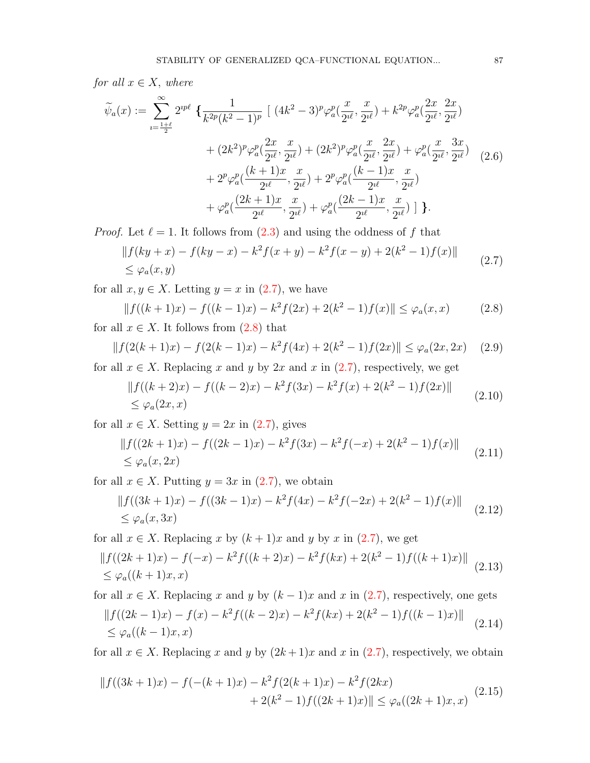for all  $x \in X$ , where

$$
\widetilde{\psi}_{a}(x) := \sum_{i=\frac{1+\ell}{2}}^{\infty} 2^{ip\ell} \left\{ \frac{1}{k^{2p}(k^{2}-1)^{p}} \left[ (4k^{2}-3)^{p} \varphi_{a}^{p}(\frac{x}{2^{i\ell}}, \frac{x}{2^{i\ell}}) + k^{2p} \varphi_{a}^{p}(\frac{2x}{2^{i\ell}}, \frac{2x}{2^{i\ell}}) \right. \right.\left. + (2k^{2})^{p} \varphi_{a}^{p}(\frac{2x}{2^{i\ell}}, \frac{x}{2^{i\ell}}) + (2k^{2})^{p} \varphi_{a}^{p}(\frac{x}{2^{i\ell}}, \frac{2x}{2^{i\ell}}) + \varphi_{a}^{p}(\frac{x}{2^{i\ell}}, \frac{3x}{2^{i\ell}}) \right. \right.\left. + 2^{p} \varphi_{a}^{p}(\frac{(k+1)x}{2^{i\ell}}, \frac{x}{2^{i\ell}}) + 2^{p} \varphi_{a}^{p}(\frac{(k-1)x}{2^{i\ell}}, \frac{x}{2^{i\ell}}) \right.\left. + \varphi_{a}^{p}(\frac{(2k+1)x}{2^{i\ell}}, \frac{x}{2^{i\ell}}) + \varphi_{a}^{p}(\frac{(2k-1)x}{2^{i\ell}}, \frac{x}{2^{i\ell}}) \right] \right\}.
$$
\n(2.6)

*Proof.* Let  $\ell = 1$ . It follows from  $(2.3)$  and using the oddness of f that

<span id="page-3-1"></span><span id="page-3-0"></span>
$$
||f(ky + x) - f(ky - x) - k^2 f(x + y) - k^2 f(x - y) + 2(k^2 - 1)f(x)||
$$
  
\$\le \varphi\_a(x, y)\$ (2.7)

for all  $x, y \in X$ . Letting  $y = x$  in  $(2.7)$ , we have

$$
||f((k+1)x) - f((k-1)x) - k^2 f(2x) + 2(k^2 - 1)f(x)|| \le \varphi_a(x, x)
$$
\n(2.8)

for all  $x \in X$ . It follows from  $(2.8)$  that

<span id="page-3-6"></span>
$$
||f(2(k+1)x) - f(2(k-1)x) - k^2 f(4x) + 2(k^2 - 1)f(2x)|| \le \varphi_a(2x, 2x) \quad (2.9)
$$

for all  $x \in X$ . Replacing x and y by 2x and x in [\(2.7\)](#page-3-0), respectively, we get

<span id="page-3-2"></span>
$$
||f((k+2)x) - f((k-2)x) - k^2 f(3x) - k^2 f(x) + 2(k^2 - 1)f(2x)||
$$
  
\$\leq \varphi\_a(2x, x)\$ (2.10)

for all  $x \in X$ . Setting  $y = 2x$  in  $(2.7)$ , gives

<span id="page-3-3"></span>
$$
\|f((2k+1)x) - f((2k-1)x) - k^2 f(3x) - k^2 f(-x) + 2(k^2 - 1)f(x)\|
$$
  
\$\leq \varphi\_a(x, 2x)\$ (2.11)

for all  $x \in X$ . Putting  $y = 3x$  in  $(2.7)$ , we obtain

<span id="page-3-7"></span><span id="page-3-5"></span><span id="page-3-4"></span>
$$
\|f((3k+1)x) - f((3k-1)x) - k^2 f(4x) - k^2 f(-2x) + 2(k^2 - 1)f(x)\|
$$
  
\n
$$
\leq \varphi_a(x, 3x) \tag{2.12}
$$

for all  $x \in X$ . Replacing x by  $(k+1)x$  and y by x in  $(2.7)$ , we get

$$
\|f((2k+1)x) - f(-x) - k^2 f((k+2)x) - k^2 f(kx) + 2(k^2 - 1)f((k+1)x)\|
$$
  
\n
$$
\leq \varphi_a((k+1)x, x)
$$
\n(2.13)

for all  $x \in X$ . Replacing x and y by  $(k-1)x$  and x in  $(2.7)$ , respectively, one gets  $|| f((2k-1)x) - f(x) - k^2 f((k-2)x) - k^2 f(kx) + 2(k^2-1)f((k-1)x)||$  $\leq \varphi_a((k-1)x, x)$ (2.14)

<span id="page-3-8"></span>for all  $x \in X$ . Replacing x and y by  $(2k+1)x$  and x in  $(2.7)$ , respectively, we obtain

$$
||f((3k+1)x) - f(-(k+1)x) - k^2 f(2(k+1)x) - k^2 f(2kx) + 2(k^2 - 1)f((2k+1)x)|| \leq \varphi_a((2k+1)x, x)
$$
(2.15)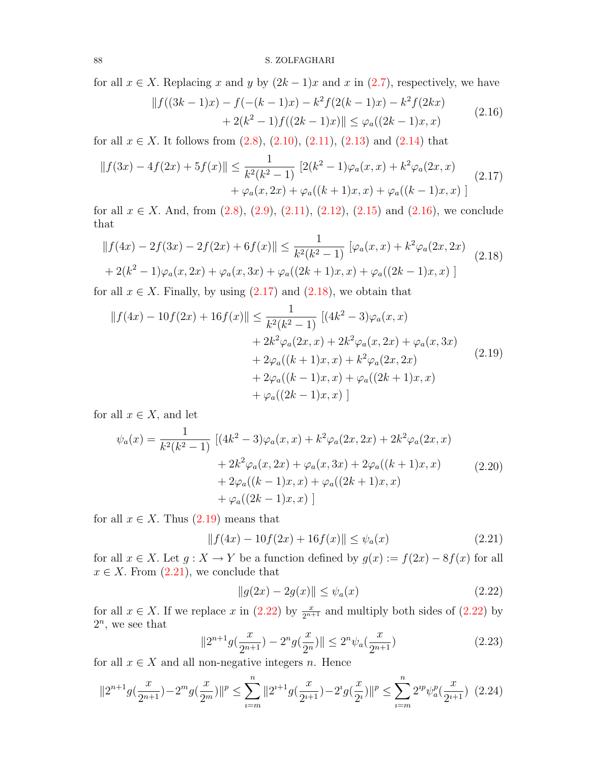for all  $x \in X$ . Replacing x and y by  $(2k-1)x$  and x in  $(2.7)$ , respectively, we have

<span id="page-4-1"></span><span id="page-4-0"></span>
$$
|| f((3k-1)x) - f(-(k-1)x) - k^2 f(2(k-1)x) - k^2 f(2kx) + 2(k^2 - 1) f((2k-1)x)|| \le \varphi_a((2k-1)x, x)
$$
(2.16)

for all  $x \in X$ . It follows from  $(2.8)$ ,  $(2.10)$ ,  $(2.11)$ ,  $(2.13)$  and  $(2.14)$  that

$$
||f(3x) - 4f(2x) + 5f(x)|| \le \frac{1}{k^2(k^2 - 1)} [2(k^2 - 1)\varphi_a(x, x) + k^2 \varphi_a(2x, x) + \varphi_a(x, 2x) + \varphi_a((k+1)x, x) + \varphi_a((k-1)x, x)] \tag{2.17}
$$

for all  $x \in X$ . And, from  $(2.8)$ ,  $(2.9)$ ,  $(2.11)$ ,  $(2.12)$ ,  $(2.15)$  and  $(2.16)$ , we conclude that

<span id="page-4-2"></span>
$$
||f(4x) - 2f(3x) - 2f(2x) + 6f(x)|| \le \frac{1}{k^2(k^2 - 1)} \left[ \varphi_a(x, x) + k^2 \varphi_a(2x, 2x) \right]
$$
  
+ 2(k<sup>2</sup> - 1)\varphi\_a(x, 2x) + \varphi\_a(x, 3x) + \varphi\_a((2k + 1)x, x) + \varphi\_a((2k - 1)x, x) \right] (2.18)

for all  $x \in X$ . Finally, by using  $(2.17)$  and  $(2.18)$ , we obtain that

<span id="page-4-3"></span>
$$
||f(4x) - 10f(2x) + 16f(x)|| \le \frac{1}{k^2(k^2 - 1)} [(4k^2 - 3)\varphi_a(x, x) + 2k^2\varphi_a(2x, x) + 2k^2\varphi_a(x, 2x) + \varphi_a(x, 3x) + 2\varphi_a((k+1)x, x) + k^2\varphi_a(2x, 2x) + 2\varphi_a((k-1)x, x) + \varphi_a((2k+1)x, x) + \varphi_a((2k-1)x, x)]
$$
\n(2.19)

for all  $x \in X$ , and let

<span id="page-4-6"></span>
$$
\psi_a(x) = \frac{1}{k^2(k^2 - 1)} \left[ (4k^2 - 3)\varphi_a(x, x) + k^2 \varphi_a(2x, 2x) + 2k^2 \varphi_a(2x, x) + 2k^2 \varphi_a(x, 2x) + \varphi_a(x, 3x) + 2\varphi_a((k+1)x, x) + 2\varphi_a((k-1)x, x) + \varphi_a((2k-1)x, x) \right]
$$
\n(2.20)

for all  $x \in X$ . Thus  $(2.19)$  means that

<span id="page-4-4"></span>
$$
||f(4x) - 10f(2x) + 16f(x)|| \le \psi_a(x)
$$
\n(2.21)

for all  $x \in X$ . Let  $g: X \to Y$  be a function defined by  $g(x) := f(2x) - 8f(x)$  for all  $x \in X$ . From  $(2.21)$ , we conclude that

<span id="page-4-7"></span><span id="page-4-5"></span>
$$
||g(2x) - 2g(x)|| \le \psi_a(x)
$$
\n(2.22)

for all  $x \in X$ . If we replace x in  $(2.22)$  by  $\frac{x}{2^{n+1}}$  and multiply both sides of  $(2.22)$  by  $2^n$ , we see that

<span id="page-4-8"></span>
$$
||2^{n+1}g(\frac{x}{2^{n+1}}) - 2^{n}g(\frac{x}{2^{n}})|| \le 2^{n}\psi_a(\frac{x}{2^{n+1}})
$$
\n(2.23)

for all  $x \in X$  and all non-negative integers n. Hence

$$
||2^{n+1}g(\frac{x}{2^{n+1}})-2^{m}g(\frac{x}{2^{m}})||^{p} \leq \sum_{i=m}^{n}||2^{i+1}g(\frac{x}{2^{i+1}})-2^{i}g(\frac{x}{2^{i}})||^{p} \leq \sum_{i=m}^{n}2^{ip}\psi_{a}^{p}(\frac{x}{2^{i+1}}) \tag{2.24}
$$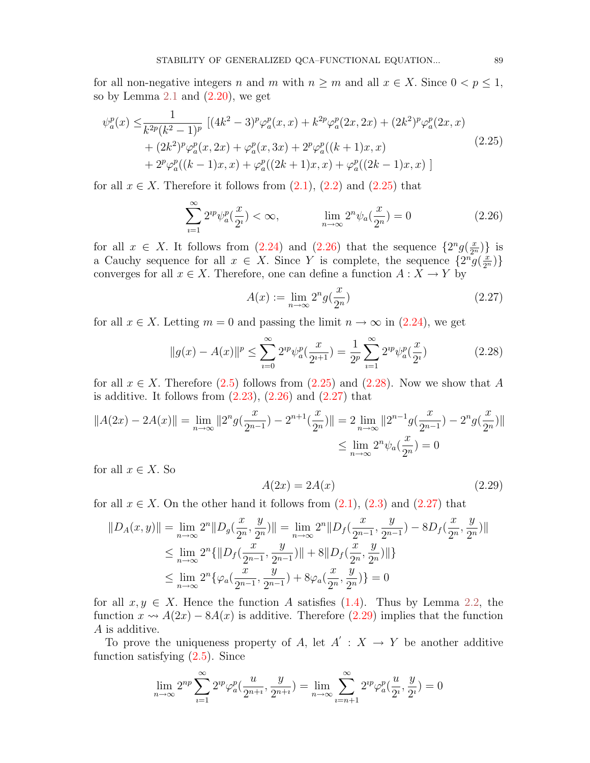for all non-negative integers n and m with  $n \geq m$  and all  $x \in X$ . Since  $0 < p \leq 1$ , so by Lemma  $2.1$  and  $(2.20)$ , we get

$$
\psi_a^p(x) \leq \frac{1}{k^{2p}(k^2 - 1)^p} \left[ (4k^2 - 3)^p \varphi_a^p(x, x) + k^{2p} \varphi_a^p(2x, 2x) + (2k^2)^p \varphi_a^p(2x, x) + (2k^2)^p \varphi_a^p(x, 2x) + \varphi_a^p(x, 3x) + 2^p \varphi_a^p((k+1)x, x) + 2^p \varphi_a^p((k-1)x, x) + \varphi_a^p((2k+1)x, x) + \varphi_a^p((2k-1)x, x) \right]
$$
\n(2.25)

for all  $x \in X$ . Therefore it follows from  $(2.1)$ ,  $(2.2)$  and  $(2.25)$  that

<span id="page-5-0"></span>
$$
\sum_{i=1}^{\infty} 2^{ip} \psi_a^p(\frac{x}{2^i}) < \infty, \qquad \lim_{n \to \infty} 2^n \psi_a(\frac{x}{2^n}) = 0 \tag{2.26}
$$

for all  $x \in X$ . It follows from [\(2.24\)](#page-4-7) and [\(2.26\)](#page-5-1) that the sequence  $\{2^n g(\frac{x}{2^n})\}$  is a Cauchy sequence for all  $x \in X$ . Since Y is complete, the sequence  $\{2^n \tilde{g}(\frac{x}{2^n})\}$ converges for all  $x \in X$ . Therefore, one can define a function  $A: X \to Y$  by

<span id="page-5-3"></span><span id="page-5-2"></span><span id="page-5-1"></span>
$$
A(x) := \lim_{n \to \infty} 2^n g\left(\frac{x}{2^n}\right) \tag{2.27}
$$

for all  $x \in X$ . Letting  $m = 0$  and passing the limit  $n \to \infty$  in  $(2.24)$ , we get

$$
||g(x) - A(x)||^{p} \le \sum_{i=0}^{\infty} 2^{ip} \psi_{a}^{p}(\frac{x}{2^{i+1}}) = \frac{1}{2^{p}} \sum_{i=1}^{\infty} 2^{ip} \psi_{a}^{p}(\frac{x}{2^{i}})
$$
(2.28)

for all  $x \in X$ . Therefore [\(2.5\)](#page-2-4) follows from [\(2.25\)](#page-5-0) and [\(2.28\)](#page-5-2). Now we show that A is additive. It follows from  $(2.23)$ ,  $(2.26)$  and  $(2.27)$  that

$$
||A(2x) - 2A(x)|| = \lim_{n \to \infty} ||2^{n}g(\frac{x}{2^{n-1}}) - 2^{n+1}(\frac{x}{2^{n}})|| = 2 \lim_{n \to \infty} ||2^{n-1}g(\frac{x}{2^{n-1}}) - 2^{n}g(\frac{x}{2^{n}})||
$$
  

$$
\leq \lim_{n \to \infty} 2^{n}\psi_{a}(\frac{x}{2^{n}}) = 0
$$

for all  $x \in X$ . So

<span id="page-5-4"></span>
$$
A(2x) = 2A(x) \tag{2.29}
$$

for all  $x \in X$ . On the other hand it follows from  $(2.1)$ ,  $(2.3)$  and  $(2.27)$  that

$$
||D_A(x,y)|| = \lim_{n \to \infty} 2^n ||D_g(\frac{x}{2^n}, \frac{y}{2^n})|| = \lim_{n \to \infty} 2^n ||D_f(\frac{x}{2^{n-1}}, \frac{y}{2^{n-1}}) - 8D_f(\frac{x}{2^n}, \frac{y}{2^n})||
$$
  
\n
$$
\leq \lim_{n \to \infty} 2^n \{ ||D_f(\frac{x}{2^{n-1}}, \frac{y}{2^{n-1}})|| + 8||D_f(\frac{x}{2^n}, \frac{y}{2^n})|| \}
$$
  
\n
$$
\leq \lim_{n \to \infty} 2^n \{ \varphi_a(\frac{x}{2^{n-1}}, \frac{y}{2^{n-1}}) + 8\varphi_a(\frac{x}{2^n}, \frac{y}{2^n}) \} = 0
$$

for all  $x, y \in X$ . Hence the function A satisfies [\(1.4\)](#page-1-2). Thus by Lemma [2.2,](#page-2-5) the function  $x \rightarrow A(2x) - 8A(x)$  is additive. Therefore [\(2.29\)](#page-5-4) implies that the function A is additive.

To prove the uniqueness property of A, let  $A' : X \to Y$  be another additive function satisfying  $(2.5)$ . Since

$$
\lim_{n \to \infty} 2^{np} \sum_{i=1}^{\infty} 2^{ip} \varphi_a^p(\frac{u}{2^{n+i}}, \frac{y}{2^{n+i}}) = \lim_{n \to \infty} \sum_{i=n+1}^{\infty} 2^{ip} \varphi_a^p(\frac{u}{2^i}, \frac{y}{2^i}) = 0
$$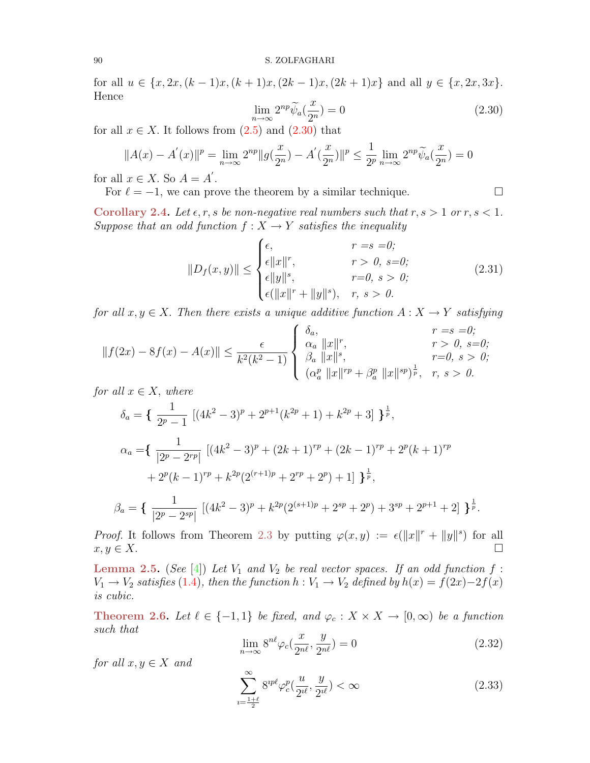<span id="page-6-0"></span>for all  $u \in \{x, 2x, (k-1)x, (k+1)x, (2k-1)x, (2k+1)x\}$  and all  $y \in \{x, 2x, 3x\}$ . Hence

<span id="page-6-4"></span>
$$
\lim_{n \to \infty} 2^{np} \widetilde{\psi}_a(\frac{x}{2^n}) = 0 \tag{2.30}
$$

for all  $x \in X$ . It follows from  $(2.5)$  and  $(2.30)$  that

$$
||A(x) - A^{'}(x)||^{p} = \lim_{n \to \infty} 2^{np} ||g(\frac{x}{2^{n}}) - A^{'}(\frac{x}{2^{n}})||^{p} \le \frac{1}{2^{p}} \lim_{n \to \infty} 2^{np} \widetilde{\psi}_{a}(\frac{x}{2^{n}}) = 0
$$

for all  $x \in X$ . So  $A = A'$ .

For  $\ell = -1$ , we can prove the theorem by a similar technique.

<span id="page-6-6"></span>Corollary 2.4. Let  $\epsilon, r, s$  be non-negative real numbers such that  $r, s > 1$  or  $r, s < 1$ . Suppose that an odd function  $f : X \to Y$  satisfies the inequality

$$
||D_f(x,y)|| \leq \begin{cases} \epsilon, & r = s = 0; \\ \epsilon ||x||^r, & r > 0, s = 0; \\ \epsilon ||y||^s, & r = 0, s > 0; \\ \epsilon (||x||^r + ||y||^s), & r, s > 0. \end{cases}
$$
(2.31)

for all  $x, y \in X$ . Then there exists a unique additive function  $A: X \to Y$  satisfying

$$
||f(2x) - 8f(x) - A(x)|| \le \frac{\epsilon}{k^2(k^2 - 1)} \begin{cases} \delta_a, & r = s = 0; \\ \alpha_a ||x||^r, & r > 0, s = 0; \\ \beta_a ||x||^s, & r = 0, s > 0; \\ (\alpha_a^p ||x||^{rp} + \beta_a^p ||x||^{sp})^{\frac{1}{p}}, & r, s > 0. \end{cases}
$$

for all  $x \in X$ , where

$$
\delta_a = \left\{ \frac{1}{2^p - 1} \left[ (4k^2 - 3)^p + 2^{p+1} (k^{2p} + 1) + k^{2p} + 3 \right] \right\}^{\frac{1}{p}},
$$
  
\n
$$
\alpha_a = \left\{ \frac{1}{|2^p - 2^{rp}|} \left[ (4k^2 - 3)^p + (2k + 1)^{rp} + (2k - 1)^{rp} + 2^p (k + 1)^{rp} \right. \\ \left. + 2^p (k - 1)^{rp} + k^{2p} (2^{(r+1)p} + 2^{rp} + 2^p) + 1 \right] \right\}^{\frac{1}{p}},
$$
  
\n
$$
\beta_a = \left\{ \frac{1}{|2^p - 2^{sp}|} \left[ (4k^2 - 3)^p + k^{2p} (2^{(s+1)p} + 2^{sp} + 2^p) + 3^{sp} + 2^{p+1} + 2 \right] \right\}^{\frac{1}{p}}.
$$

*Proof.* It follows from Theorem [2.3](#page-2-6) by putting  $\varphi(x,y) := \epsilon(||x||^r + ||y||^s)$  for all  $x, y \in X$ .

<span id="page-6-3"></span>**Lemma 2.5.** (See [\[4\]](#page-14-3)) Let  $V_1$  and  $V_2$  be real vector spaces. If an odd function f:  $V_1 \rightarrow V_2$  satisfies [\(1](#page-1-2).4), then the function  $h: V_1 \rightarrow V_2$  defined by  $h(x) = f(2x)-2f(x)$ is cubic.

<span id="page-6-5"></span><span id="page-6-1"></span>Theorem 2.6. Let  $\ell \in \{-1,1\}$  be fixed, and  $\varphi_c : X \times X \to [0,\infty)$  be a function such that

$$
\lim_{n \to \infty} 8^{n\ell} \varphi_c(\frac{x}{2^{n\ell}}, \frac{y}{2^{n\ell}}) = 0
$$
\n(2.32)

for all  $x, y \in X$  and

<span id="page-6-2"></span>
$$
\sum_{\iota=\frac{1+\ell}{2}}^{\infty} 8^{\iota p \ell} \varphi_c^p(\frac{u}{2^{\iota \ell}}, \frac{y}{2^{\iota \ell}}) < \infty \tag{2.33}
$$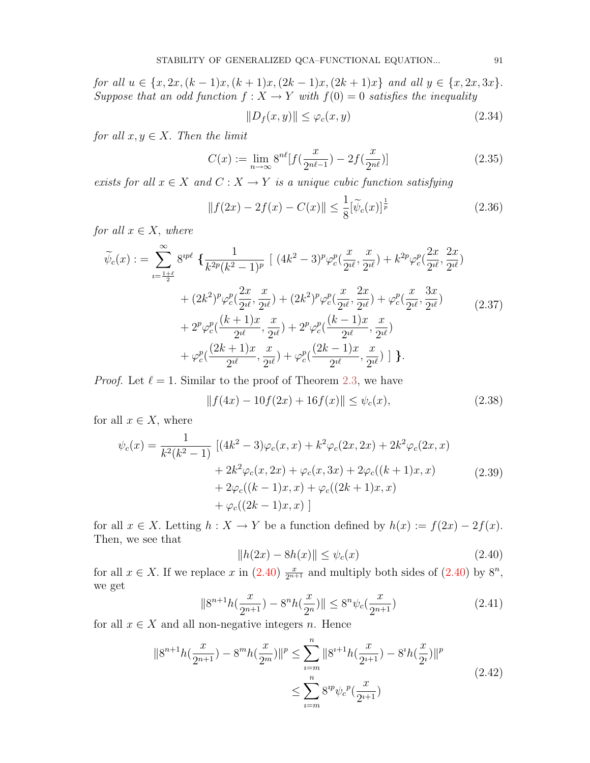for all  $u \in \{x, 2x, (k-1)x, (k+1)x, (2k-1)x, (2k+1)x\}$  and all  $y \in \{x, 2x, 3x\}$ . Suppose that an odd function  $f: X \to Y$  with  $f(0) = 0$  satisfies the inequality

<span id="page-7-5"></span><span id="page-7-3"></span>
$$
||D_f(x,y)|| \le \varphi_c(x,y) \tag{2.34}
$$

for all  $x, y \in X$ . Then the limit

$$
C(x) := \lim_{n \to \infty} 8^{n\ell} [f(\frac{x}{2^{n\ell - 1}}) - 2f(\frac{x}{2^{n\ell}})]
$$
\n(2.35)

exists for all  $x \in X$  and  $C : X \to Y$  is a unique cubic function satisfying

$$
||f(2x) - 2f(x) - C(x)|| \le \frac{1}{8} [\tilde{\psi}_c(x)]^{\frac{1}{p}}
$$
\n(2.36)

for all  $x \in X$ , where

$$
\widetilde{\psi}_{c}(x) := \sum_{i=\frac{1+\ell}{2}}^{\infty} 8^{ip\ell} \left\{ \frac{1}{k^{2p}(k^{2}-1)^{p}} \left[ (4k^{2}-3)^{p} \varphi_{c}^{p}(\frac{x}{2^{i\ell}}, \frac{x}{2^{i\ell}}) + k^{2p} \varphi_{c}^{p}(\frac{2x}{2^{i\ell}}, \frac{2x}{2^{i\ell}}) \right. \right.\left. + (2k^{2})^{p} \varphi_{c}^{p}(\frac{2x}{2^{i\ell}}, \frac{x}{2^{i\ell}}) + (2k^{2})^{p} \varphi_{c}^{p}(\frac{x}{2^{i\ell}}, \frac{2x}{2^{i\ell}}) + \varphi_{c}^{p}(\frac{x}{2^{i\ell}}, \frac{3x}{2^{i\ell}}) \right.\left. + 2^{p} \varphi_{c}^{p}(\frac{(k+1)x}{2^{i\ell}}, \frac{x}{2^{i\ell}}) + 2^{p} \varphi_{c}^{p}(\frac{(k-1)x}{2^{i\ell}}, \frac{x}{2^{i\ell}}) \right.\left. + \varphi_{c}^{p}(\frac{(2k+1)x}{2^{i\ell}}, \frac{x}{2^{i\ell}}) + \varphi_{c}^{p}(\frac{(2k-1)x}{2^{i\ell}}, \frac{x}{2^{i\ell}}) \right] \right\}.
$$
\n(2.37)

*Proof.* Let  $\ell = 1$ . Similar to the proof of Theorem [2.3,](#page-2-6) we have

<span id="page-7-1"></span>
$$
||f(4x) - 10f(2x) + 16f(x)|| \le \psi_c(x), \tag{2.38}
$$

for all  $x \in X$ , where

$$
\psi_c(x) = \frac{1}{k^2(k^2 - 1)} \left[ (4k^2 - 3)\varphi_c(x, x) + k^2 \varphi_c(2x, 2x) + 2k^2 \varphi_c(2x, x) + 2k^2 \varphi_c(x, 2x) + \varphi_c(x, 3x) + 2\varphi_c((k+1)x, x) + 2\varphi_c((k-1)x, x) + \varphi_c((2k-1)x, x) \right]
$$
\n(2.39)  
\n(2.39)

for all  $x \in X$ . Letting  $h: X \to Y$  be a function defined by  $h(x) := f(2x) - 2f(x)$ . Then, we see that

<span id="page-7-2"></span><span id="page-7-0"></span>
$$
||h(2x) - 8h(x)|| \le \psi_c(x)
$$
\n(2.40)

<span id="page-7-4"></span>for all  $x \in X$ . If we replace x in  $(2.40)$   $\frac{x}{2^{n+1}}$  and multiply both sides of  $(2.40)$  by  $8^n$ , we get

$$
||8^{n+1}h(\frac{x}{2^{n+1}}) - 8^n h(\frac{x}{2^n})|| \le 8^n \psi_c(\frac{x}{2^{n+1}})
$$
\n(2.41)

for all  $x \in X$  and all non-negative integers n. Hence

$$
\|8^{n+1}h(\frac{x}{2^{n+1}}) - 8^m h(\frac{x}{2^m})\|^p \le \sum_{i=m}^n \|8^{i+1}h(\frac{x}{2^{i+1}}) - 8^i h(\frac{x}{2^i})\|^p
$$
  

$$
\le \sum_{i=m}^n 8^{ip} \psi_c^p(\frac{x}{2^{i+1}})
$$
 (2.42)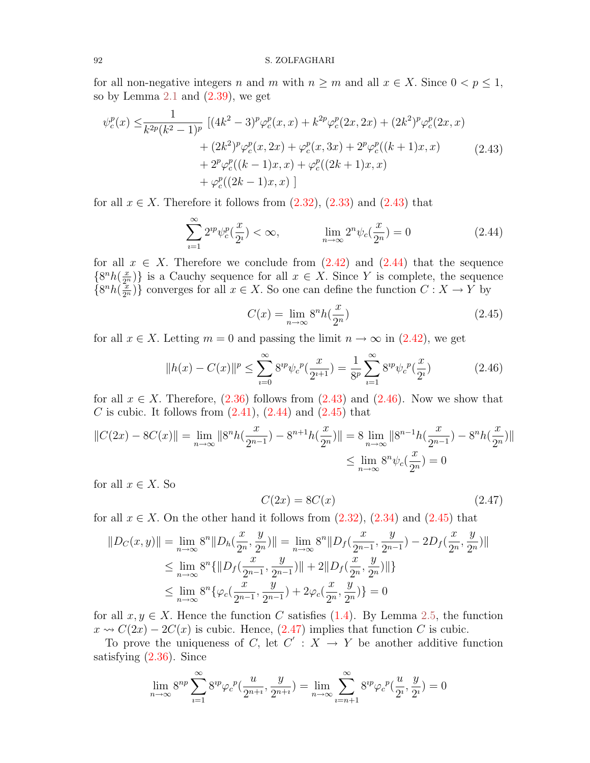for all non-negative integers n and m with  $n \geq m$  and all  $x \in X$ . Since  $0 < p \leq 1$ , so by Lemma  $2.1$  and  $(2.39)$ , we get

$$
\psi_c^p(x) \leq \frac{1}{k^{2p}(k^2 - 1)^p} \left[ (4k^2 - 3)^p \varphi_c^p(x, x) + k^{2p} \varphi_c^p(2x, 2x) + (2k^2)^p \varphi_c^p(2x, x) \right. \\ \left. + (2k^2)^p \varphi_c^p(x, 2x) + \varphi_c^p(x, 3x) + 2^p \varphi_c^p((k+1)x, x) \right. \\ \left. + 2^p \varphi_c^p((k-1)x, x) + \varphi_c^p((2k+1)x, x) \right. \\ \left. + \varphi_c^p((2k-1)x, x) \right]
$$
\n(2.43)

for all  $x \in X$ . Therefore it follows from  $(2.32)$ ,  $(2.33)$  and  $(2.43)$  that

<span id="page-8-0"></span>
$$
\sum_{i=1}^{\infty} 2^{ip} \psi_c^p(\frac{x}{2^i}) < \infty, \qquad \lim_{n \to \infty} 2^n \psi_c(\frac{x}{2^n}) = 0 \tag{2.44}
$$

for all  $x \in X$ . Therefore we conclude from  $(2.42)$  and  $(2.44)$  that the sequence  $\{8^n h(\frac{x}{2^n})\}$  is a Cauchy sequence for all  $x \in X$ . Since Y is complete, the sequence  $\{8^n h(\frac{x}{2^n})\}$  converges for all  $x \in X$ . So one can define the function  $C: X \to Y$  by

<span id="page-8-3"></span><span id="page-8-2"></span><span id="page-8-1"></span>
$$
C(x) = \lim_{n \to \infty} 8^n h\left(\frac{x}{2^n}\right) \tag{2.45}
$$

for all  $x \in X$ . Letting  $m = 0$  and passing the limit  $n \to \infty$  in  $(2.42)$ , we get

$$
||h(x) - C(x)||^{p} \le \sum_{i=0}^{\infty} 8^{ip} \psi_{c}^{p}(\frac{x}{2^{i+1}}) = \frac{1}{8^{p}} \sum_{i=1}^{\infty} 8^{ip} \psi_{c}^{p}(\frac{x}{2^{i}})
$$
(2.46)

for all  $x \in X$ . Therefore, [\(2.36\)](#page-7-3) follows from [\(2.43\)](#page-8-0) and [\(2.46\)](#page-8-2). Now we show that C is cubic. It follows from  $(2.41)$ ,  $(2.44)$  and  $(2.45)$  that

$$
||C(2x) - 8C(x)|| = \lim_{n \to \infty} ||8^n h(\frac{x}{2^{n-1}}) - 8^{n+1} h(\frac{x}{2^n})|| = 8 \lim_{n \to \infty} ||8^{n-1} h(\frac{x}{2^{n-1}}) - 8^n h(\frac{x}{2^n})||
$$
  

$$
\leq \lim_{n \to \infty} 8^n \psi_c(\frac{x}{2^n}) = 0
$$

for all  $x \in X$ . So

<span id="page-8-4"></span>
$$
C(2x) = 8C(x) \tag{2.47}
$$

for all  $x \in X$ . On the other hand it follows from  $(2.32)$ ,  $(2.34)$  and  $(2.45)$  that

$$
||D_C(x,y)|| = \lim_{n \to \infty} 8^n ||D_h(\frac{x}{2^n}, \frac{y}{2^n})|| = \lim_{n \to \infty} 8^n ||D_f(\frac{x}{2^{n-1}}, \frac{y}{2^{n-1}}) - 2D_f(\frac{x}{2^n}, \frac{y}{2^n})||
$$
  
\n
$$
\leq \lim_{n \to \infty} 8^n \{ ||D_f(\frac{x}{2^{n-1}}, \frac{y}{2^{n-1}})|| + 2||D_f(\frac{x}{2^n}, \frac{y}{2^n})|| \}
$$
  
\n
$$
\leq \lim_{n \to \infty} 8^n \{ \varphi_c(\frac{x}{2^{n-1}}, \frac{y}{2^{n-1}}) + 2\varphi_c(\frac{x}{2^n}, \frac{y}{2^n}) \} = 0
$$

for all  $x, y \in X$ . Hence the function C satisfies [\(1.4\)](#page-1-2). By Lemma [2.5,](#page-6-3) the function  $x \rightsquigarrow C(2x) - 2C(x)$  is cubic. Hence,  $(2.47)$  implies that function C is cubic.

To prove the uniqueness of C, let  $C' : X \to Y$  be another additive function satisfying [\(2.36\)](#page-7-3). Since

$$
\lim_{n \to \infty} 8^{np} \sum_{i=1}^{\infty} 8^{ip} \varphi_c^p(\frac{u}{2^{n+i}}, \frac{y}{2^{n+i}}) = \lim_{n \to \infty} \sum_{i=n+1}^{\infty} 8^{ip} \varphi_c^p(\frac{u}{2^i}, \frac{y}{2^i}) = 0
$$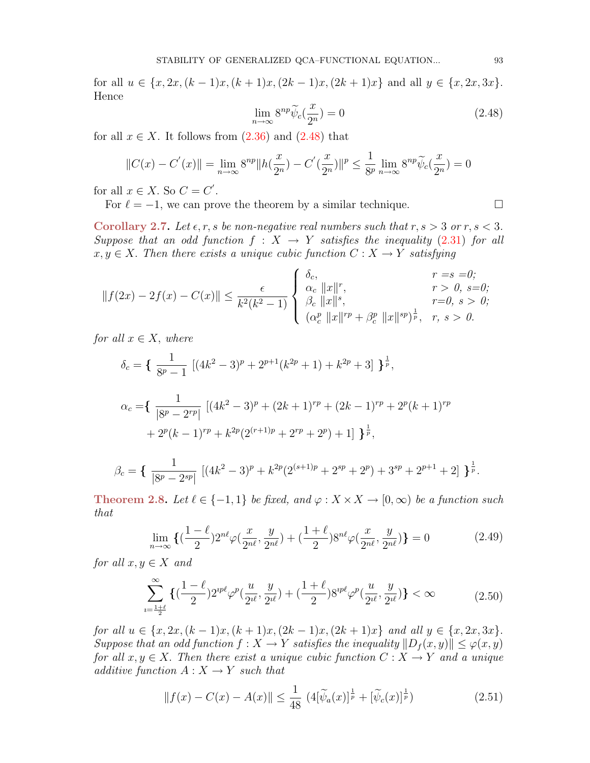<span id="page-9-0"></span>for all  $u \in \{x, 2x, (k-1)x, (k+1)x, (2k-1)x, (2k+1)x\}$  and all  $y \in \{x, 2x, 3x\}$ . Hence

$$
\lim_{n \to \infty} 8^{np} \widetilde{\psi}_c(\frac{x}{2^n}) = 0 \tag{2.48}
$$

for all  $x \in X$ . It follows from  $(2.36)$  and  $(2.48)$  that

$$
||C(x) - C'(x)|| = \lim_{n \to \infty} 8^{np} ||h(\frac{x}{2^n}) - C'(\frac{x}{2^n})||^p \le \frac{1}{8^p} \lim_{n \to \infty} 8^{np} \widetilde{\psi}_c(\frac{x}{2^n}) = 0
$$

for all  $x \in X$ . So  $C = C'$ .

For  $\ell = -1$ , we can prove the theorem by a similar technique.

<span id="page-9-2"></span>Corollary 2.7. Let  $\epsilon, r, s$  be non-negative real numbers such that  $r, s > 3$  or  $r, s < 3$ . Suppose that an odd function  $f : X \to Y$  satisfies the inequality (2.[31\)](#page-6-4) for all  $x, y \in X$ . Then there exists a unique cubic function  $C: X \to Y$  satisfying

$$
||f(2x) - 2f(x) - C(x)|| \le \frac{\epsilon}{k^2(k^2 - 1)} \begin{cases} \delta_c, & r = s = 0; \\ \alpha_c ||x||^r, & r > 0, s = 0; \\ \beta_c ||x||^s, & r = 0, s > 0; \\ (\alpha_c^p ||x||^{rp} + \beta_c^p ||x||^{sp})^{\frac{1}{p}}, & r, s > 0. \end{cases}
$$

for all  $x \in X$ , where

$$
\delta_c = \left\{ \frac{1}{8^p - 1} \left[ (4k^2 - 3)^p + 2^{p+1} (k^{2p} + 1) + k^{2p} + 3 \right] \right\}^{\frac{1}{p}},
$$
  

$$
\alpha_c = \left\{ \frac{1}{|8^p - 2^{rp}|} \left[ (4k^2 - 3)^p + (2k + 1)^{rp} + (2k - 1)^{rp} + 2^p (k + 1)^{rp} \right. \\ \left. + 2^p (k - 1)^{rp} + k^{2p} (2^{(r+1)p} + 2^{rp} + 2^p) + 1 \right] \right\}^{\frac{1}{p}},
$$

$$
\beta_c = \left\{ \frac{1}{|8^p - 2^{sp}|} \left[ (4k^2 - 3)^p + k^{2p} (2^{(s+1)p} + 2^{sp} + 2^p) + 3^{sp} + 2^{p+1} + 2 \right] \right\}^{\frac{1}{p}}.
$$

<span id="page-9-5"></span>Theorem 2.8. Let  $\ell \in \{-1,1\}$  be fixed, and  $\varphi : X \times X \to [0,\infty)$  be a function such that

<span id="page-9-3"></span>
$$
\lim_{n \to \infty} \left\{ \left( \frac{1 - \ell}{2} \right) 2^{n\ell} \varphi \left( \frac{x}{2^{n\ell}}, \frac{y}{2^{n\ell}} \right) + \left( \frac{1 + \ell}{2} \right) 8^{n\ell} \varphi \left( \frac{x}{2^{n\ell}}, \frac{y}{2^{n\ell}} \right) \right\} = 0 \tag{2.49}
$$

for all  $x, y \in X$  and

<span id="page-9-4"></span>
$$
\sum_{\nu=\frac{1+\ell}{2}}^{\infty} \left\{ \left( \frac{1-\ell}{2} \right) 2^{\nu p \ell} \varphi^p \left( \frac{u}{2^{\ell \ell}}, \frac{y}{2^{\ell \ell}} \right) + \left( \frac{1+\ell}{2} \right) 8^{\nu p \ell} \varphi^p \left( \frac{u}{2^{\ell \ell}}, \frac{y}{2^{\ell \ell}} \right) \right\} < \infty \tag{2.50}
$$

for all  $u \in \{x, 2x, (k-1)x, (k+1)x, (2k-1)x, (2k+1)x\}$  and all  $y \in \{x, 2x, 3x\}$ . Suppose that an odd function  $f: X \to Y$  satisfies the inequality  $||D_f(x, y)|| \leq \varphi(x, y)$ for all  $x, y \in X$ . Then there exist a unique cubic function  $C: X \to Y$  and a unique additive function  $A: X \rightarrow Y$  such that

<span id="page-9-1"></span>
$$
||f(x) - C(x) - A(x)|| \le \frac{1}{48} \left( 4[\widetilde{\psi}_a(x)]^{\frac{1}{p}} + [\widetilde{\psi}_c(x)]^{\frac{1}{p}} \right)
$$
 (2.51)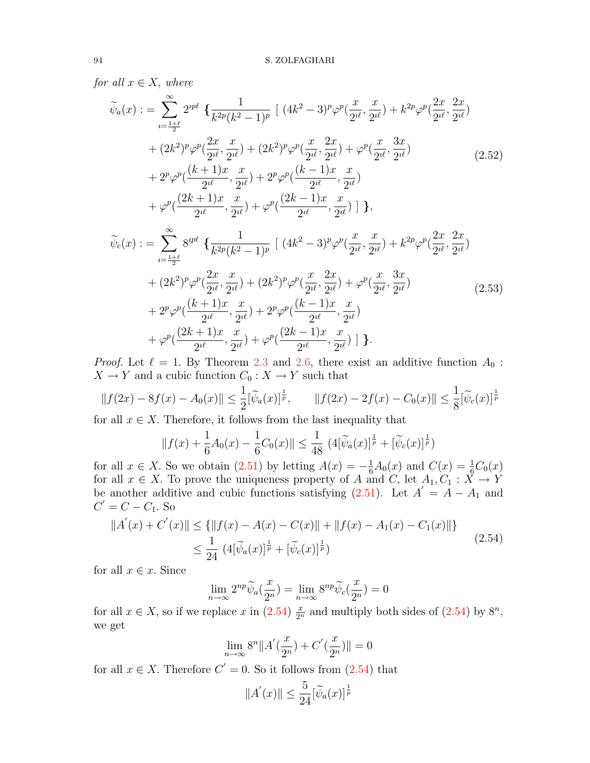for all  $x \in X$ , where

<span id="page-10-1"></span>
$$
\tilde{\psi}_{a}(x) := \sum_{i=\frac{1+\ell}{2}}^{\infty} 2^{ip\ell} \left\{ \frac{1}{k^{2p}(k^{2}-1)^{p}} \left[ (4k^{2}-3)^{p}\varphi^{p}(\frac{x}{2^{i\ell}},\frac{x}{2^{i\ell}}) + k^{2p}\varphi^{p}(\frac{2x}{2^{i\ell}},\frac{2x}{2^{i\ell}}) \right. \\ \left. + (2k^{2})^{p}\varphi^{p}(\frac{2x}{2^{i\ell}},\frac{x}{2^{i\ell}}) + (2k^{2})^{p}\varphi^{p}(\frac{x}{2^{i\ell}},\frac{2x}{2^{i\ell}}) + \varphi^{p}(\frac{x}{2^{i\ell}},\frac{3x}{2^{i\ell}}) \right. \\ \left. + 2^{p}\varphi^{p}(\frac{(k+1)x}{2^{i\ell}},\frac{x}{2^{i\ell}}) + 2^{p}\varphi^{p}(\frac{(k-1)x}{2^{i\ell}},\frac{x}{2^{i\ell}}) \right. \\ \left. + \varphi^{p}(\frac{(2k+1)x}{2^{i\ell}},\frac{x}{2^{i\ell}}) + \varphi^{p}(\frac{(2k-1)x}{2^{i\ell}},\frac{x}{2^{i\ell}}) \right] \right\},\
$$
\n
$$
\tilde{\psi}_{c}(x) := \sum_{i=\frac{1+\ell}{2}}^{\infty} 8^{ip\ell} \left\{ \frac{1}{k^{2p}(k^{2}-1)^{p}} \left[ (4k^{2}-3)^{p}\varphi^{p}(\frac{x}{2^{i\ell}},\frac{x}{2^{i\ell}}) + k^{2p}\varphi^{p}(\frac{2x}{2^{i\ell}},\frac{2x}{2^{i\ell}}) \right. \\ \left. + (2k^{2})^{p}\varphi^{p}(\frac{2x}{2^{i\ell}},\frac{x}{2^{i\ell}}) + (2k^{2})^{p}\varphi^{p}(\frac{x}{2^{i\ell}},\frac{2x}{2^{i\ell}}) + \varphi^{p}(\frac{x}{2^{i\ell}},\frac{3x}{2^{i\ell}}) \right. \\ \left. + 2^{p}\varphi^{p}(\frac{(k+1)x}{2^{i\ell}},\frac{x}{2^{i\ell}}) + 2^{p}\varphi^{p}(\frac{(k-1)x}{2^{i\ell}},\frac{x}{2^{i\ell}}) \right] \right\}.
$$
\n<math display="block</math>

<span id="page-10-2"></span>*Proof.* Let  $\ell = 1$ . By Theorem [2.3](#page-2-6) and [2.6,](#page-6-5) there exist an additive function  $A_0$ :  $X \to Y$  and a cubic function  $C_0: X \to Y$  such that

 $\frac{1}{2}i\ell}$ ,

 $\frac{x}{2^{i\ell}}$ ) ] }.

$$
||f(2x) - 8f(x) - A_0(x)|| \le \frac{1}{2} [\widetilde{\psi}_a(x)]^{\frac{1}{p}}, \qquad ||f(2x) - 2f(x) - C_0(x)|| \le \frac{1}{8} [\widetilde{\psi}_c(x)]^{\frac{1}{p}}
$$

for all  $x \in X$ . Therefore, it follows from the last inequality that

 $\frac{1}{2^{i\ell}},$ 

<span id="page-10-0"></span>
$$
|| f(x) + \frac{1}{6}A_0(x) - \frac{1}{6}C_0(x)|| \le \frac{1}{48} \left( 4[\widetilde{\psi}_a(x)]^{\frac{1}{p}} + [\widetilde{\psi}_c(x)]^{\frac{1}{p}} \right)
$$

for all  $x \in X$ . So we obtain  $(2.51)$  by letting  $A(x) = -\frac{1}{6}A_0(x)$  and  $C(x) = \frac{1}{6}C_0(x)$ for all  $x \in X$ . To prove the uniqueness property of A and C, let  $A_1, C_1 : X \to Y$ be another additive and cubic functions satisfying  $(2.51)$ . Let  $A' = A - A_1$  and  $C' = C - C_1$ . So

$$
||A'(x) + C'(x)|| \le \{ ||f(x) - A(x) - C(x)|| + ||f(x) - A_1(x) - C_1(x)|| \}
$$
  

$$
\le \frac{1}{24} (4[\widetilde{\psi}_a(x)]^{\frac{1}{p}} + [\widetilde{\psi}_c(x)]^{\frac{1}{p}})
$$
 (2.54)

for all  $x \in \mathcal{X}$ . Since

$$
\lim_{n \to \infty} 2^{np} \widetilde{\psi}_a(\frac{x}{2^n}) = \lim_{n \to \infty} 8^{np} \widetilde{\psi}_c(\frac{x}{2^n}) = 0
$$

for all  $x \in X$ , so if we replace x in  $(2.54) \frac{x}{2^n}$  $(2.54) \frac{x}{2^n}$  and multiply both sides of  $(2.54)$  by  $8^n$ , we get

$$
\lim_{n \to \infty} 8^n \|A'(\frac{x}{2^n}) + C'(\frac{x}{2^n})\| = 0
$$

for all  $x \in X$ . Therefore  $C' = 0$ . So it follows from  $(2.54)$  that

$$
||A'(x)|| \le \frac{5}{24} [\widetilde{\psi}_a(x)]^{\frac{1}{p}}
$$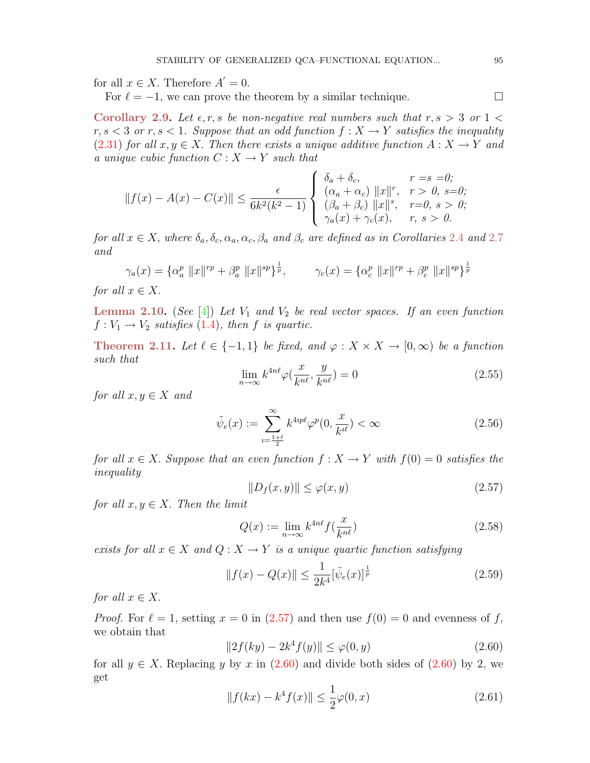for all  $x \in X$ . Therefore  $A' = 0$ .

For  $\ell = -1$ , we can prove the theorem by a similar technique.

<span id="page-11-9"></span>Corollary 2.9. Let  $\epsilon, r, s$  be non-negative real numbers such that  $r, s > 3$  or  $1 <$  $r, s < 3$  or  $r, s < 1$ . Suppose that an odd function  $f: X \to Y$  satisfies the inequality (2.[31\)](#page-6-4) for all  $x, y \in X$ . Then there exists a unique additive function  $A: X \to Y$  and a unique cubic function  $C: X \to Y$  such that

$$
||f(x) - A(x) - C(x)|| \le \frac{\epsilon}{6k^2(k^2 - 1)} \begin{cases} \n\delta_a + \delta_c, & r = s = 0; \\
(\alpha_a + \alpha_c) ||x||^r, & r > 0, s = 0; \\
(\beta_a + \beta_c) ||x||^s, & r = 0, s > 0; \\
\gamma_a(x) + \gamma_c(x), & r, s > 0.\n\end{cases}
$$

for all  $x \in X$ , where  $\delta_a, \delta_c, \alpha_a, \alpha_c, \beta_a$  and  $\beta_c$  are defined as in Corollaries [2](#page-6-6).4 and 2.[7](#page-9-2) and

$$
\gamma_a(x) = \{ \alpha_a^p \, \|x\|^{rp} + \beta_a^p \, \|x\|^{sp} \}^{\frac{1}{p}}, \qquad \gamma_c(x) = \{ \alpha_c^p \, \|x\|^{rp} + \beta_c^p \, \|x\|^{sp} \}^{\frac{1}{p}}
$$

for all  $x \in X$ .

<span id="page-11-7"></span>**Lemma 2.10.** (See [\[4\]](#page-14-3)) Let  $V_1$  and  $V_2$  be real vector spaces. If an even function  $f: V_1 \rightarrow V_2$  satisfies [\(1](#page-1-2).4), then f is quartic.

<span id="page-11-8"></span><span id="page-11-6"></span>**Theorem 2.11.** Let  $\ell \in \{-1,1\}$  be fixed, and  $\varphi : X \times X \to [0,\infty)$  be a function such that

$$
\lim_{n \to \infty} k^{4n\ell} \varphi\left(\frac{x}{k^{n\ell}}, \frac{y}{k^{n\ell}}\right) = 0 \tag{2.55}
$$

for all  $x, y \in X$  and

<span id="page-11-3"></span>
$$
\tilde{\psi}_e(x) := \sum_{i=\frac{1+\ell}{2}}^{\infty} k^{4ip\ell} \varphi^p(0, \frac{x}{k^{i\ell}}) < \infty \tag{2.56}
$$

<span id="page-11-0"></span>for all  $x \in X$ . Suppose that an even function  $f : X \to Y$  with  $f(0) = 0$  satisfies the inequality

<span id="page-11-5"></span><span id="page-11-4"></span>
$$
||D_f(x,y)|| \le \varphi(x,y) \tag{2.57}
$$

for all  $x, y \in X$ . Then the limit

$$
Q(x) := \lim_{n \to \infty} k^{4n\ell} f(\frac{x}{k^{n\ell}})
$$
\n(2.58)

exists for all  $x \in X$  and  $Q : X \to Y$  is a unique quartic function satisfying

$$
||f(x) - Q(x)|| \le \frac{1}{2k^4} [\tilde{\psi}_e(x)]^{\frac{1}{p}}
$$
\n(2.59)

for all  $x \in X$ .

*Proof.* For  $\ell = 1$ , setting  $x = 0$  in [\(2.57\)](#page-11-0) and then use  $f(0) = 0$  and evenness of f, we obtain that

<span id="page-11-1"></span>
$$
||2f(ky) - 2k^4 f(y)|| \le \varphi(0, y)
$$
\n(2.60)

<span id="page-11-2"></span>for all  $y \in X$ . Replacing y by x in [\(2.60\)](#page-11-1) and divide both sides of (2.60) by 2, we get

$$
||f(kx) - k^4 f(x)|| \le \frac{1}{2}\varphi(0, x)
$$
\n(2.61)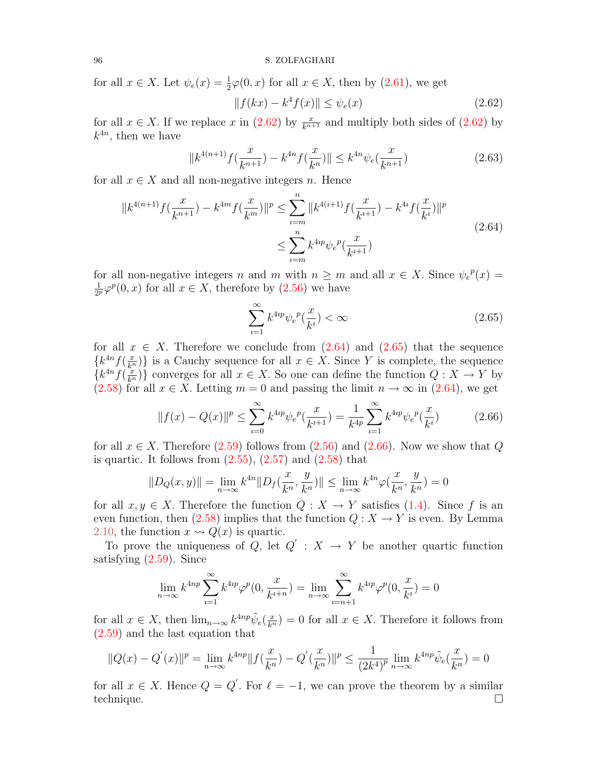for all  $x \in X$ . Let  $\psi_e(x) = \frac{1}{2}\varphi(0, x)$  for all  $x \in X$ , then by  $(2.61)$ , we get

<span id="page-12-1"></span><span id="page-12-0"></span>
$$
|| f(kx) - k^4 f(x) || \le \psi_e(x)
$$
 (2.62)

for all  $x \in X$ . If we replace x in [\(2.62\)](#page-12-0) by  $\frac{x}{k^{n+1}}$  and multiply both sides of (2.62) by  $k^{4n}$ , then we have

$$
||k^{4(n+1)}f(\frac{x}{k^{n+1}}) - k^{4n}f(\frac{x}{k^n})|| \le k^{4n}\psi_e(\frac{x}{k^{n+1}})
$$
\n(2.63)

for all  $x \in X$  and all non-negative integers n. Hence

$$
||k^{4(n+1)}f(\frac{x}{k^{n+1}}) - k^{4m}f(\frac{x}{k^m})||^p \le \sum_{i=m}^n ||k^{4(i+1)}f(\frac{x}{k^{i+1}}) - k^{4i}f(\frac{x}{k^i})||^p
$$
  

$$
\le \sum_{i=m}^n k^{4ip} \psi_e^p(\frac{x}{k^{i+1}})
$$
\n(2.64)

for all non-negative integers n and m with  $n \geq m$  and all  $x \in X$ . Since  $\psi_e^{\ p}(x) =$ 1  $\frac{1}{2^p}\varphi^p(0,x)$  for all  $x \in X$ , therefore by  $(2.56)$  we have

<span id="page-12-3"></span><span id="page-12-2"></span>
$$
\sum_{i=1}^{\infty} k^{4ip} \psi_e^{\ p}(\frac{x}{k^i}) < \infty \tag{2.65}
$$

for all  $x \in X$ . Therefore we conclude from  $(2.64)$  and  $(2.65)$  that the sequence  ${k^{4n} f(\frac{x}{k^n})}$  is a Cauchy sequence for all  $x \in X$ . Since Y is complete, the sequence  ${k^{4n}f(\frac{x}{k^n})}$  converges for all  $x \in X$ . So one can define the function  $Q: X \to Y$  by [\(2.58\)](#page-11-4) for all  $x \in X$ . Letting  $m = 0$  and passing the limit  $n \to \infty$  in [\(2.64\)](#page-12-1), we get

$$
||f(x) - Q(x)||^{p} \le \sum_{i=0}^{\infty} k^{4ip} \psi_{e}^{p}(\frac{x}{k^{i+1}}) = \frac{1}{k^{4p}} \sum_{i=1}^{\infty} k^{4ip} \psi_{e}^{p}(\frac{x}{k^{i}})
$$
(2.66)

for all  $x \in X$ . Therefore [\(2.59\)](#page-11-5) follows from [\(2.56\)](#page-11-3) and [\(2.66\)](#page-12-3). Now we show that Q is quartic. It follows from  $(2.55)$ ,  $(2.57)$  and  $(2.58)$  that

$$
||D_Q(x,y)|| = \lim_{n \to \infty} k^{4n} ||D_f(\frac{x}{k^n}, \frac{y}{k^n})|| \le \lim_{n \to \infty} k^{4n} \varphi(\frac{x}{k^n}, \frac{y}{k^n}) = 0
$$

for all  $x, y \in X$ . Therefore the function  $Q: X \to Y$  satisfies [\(1.4\)](#page-1-2). Since f is an even function, then [\(2.58\)](#page-11-4) implies that the function  $Q: X \to Y$  is even. By Lemma [2.10,](#page-11-7) the function  $x \rightsquigarrow Q(x)$  is quartic.

To prove the uniqueness of Q, let  $Q' : X \to Y$  be another quartic function satisfying [\(2.59\)](#page-11-5). Since

$$
\lim_{n \to \infty} k^{4np} \sum_{i=1}^{\infty} k^{4ip} \varphi^p(0, \frac{x}{k^{i+n}}) = \lim_{n \to \infty} \sum_{i=n+1}^{\infty} k^{4ip} \varphi^p(0, \frac{x}{k^i}) = 0
$$

for all  $x \in X$ , then  $\lim_{n\to\infty} k^{4np} \tilde{\psi}_e(\frac{x}{k^n}) = 0$  for all  $x \in X$ . Therefore it follows from [\(2.59\)](#page-11-5) and the last equation that

$$
||Q(x) - Q^{'}(x)||^{p} = \lim_{n \to \infty} k^{4np} ||f(\frac{x}{k^n}) - Q^{'}(\frac{x}{k^n})||^{p} \le \frac{1}{(2k^4)^p} \lim_{n \to \infty} k^{4np} \tilde{\psi}_e(\frac{x}{k^n}) = 0
$$

for all  $x \in X$ . Hence  $Q = Q'$ . For  $\ell = -1$ , we can prove the theorem by a similar technique.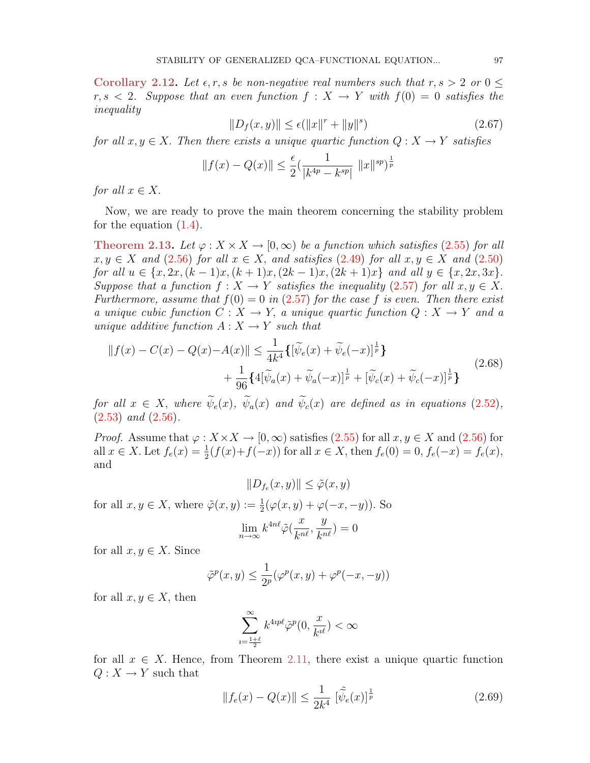<span id="page-13-2"></span>Corollary 2.12. Let  $\epsilon, r, s$  be non-negative real numbers such that  $r, s > 2$  or  $0 \leq$  $r, s < 2$ . Suppose that an even function  $f: X \to Y$  with  $f(0) = 0$  satisfies the inequality

$$
||D_f(x, y)|| \le \epsilon (||x||^r + ||y||^s)
$$
\n(2.67)

for all  $x, y \in X$ . Then there exists a unique quartic function  $Q: X \to Y$  satisfies

$$
||f(x) - Q(x)|| \le \frac{\epsilon}{2} \left( \frac{1}{|k^{4p} - k^{sp}|} ||x||^{sp} \right)^{\frac{1}{p}}
$$

for all  $x \in X$ .

Now, we are ready to prove the main theorem concerning the stability problem for the equation  $(1.4)$ .

Theorem 2.13. Let  $\varphi: X \times X \to [0, \infty)$  be a function which satisfies (2.[55\)](#page-11-6) for all  $x, y \in X$  and (2.[56\)](#page-11-3) for all  $x \in X$ , and satisfies (2.[49\)](#page-9-3) for all  $x, y \in X$  and (2.[50\)](#page-9-4) for all  $u \in \{x, 2x, (k-1)x, (k+1)x, (2k-1)x, (2k+1)x\}$  and all  $y \in \{x, 2x, 3x\}$ . Suppose that a function  $f: X \to Y$  satisfies the inequality (2.[57\)](#page-11-0) for all  $x, y \in X$ . Furthermore, assume that  $f(0) = 0$  in (2.[57\)](#page-11-0) for the case f is even. Then there exist a unique cubic function  $C: X \to Y$ , a unique quartic function  $Q: X \to Y$  and a unique additive function  $A: X \rightarrow Y$  such that

$$
||f(x) - C(x) - Q(x) - A(x)|| \le \frac{1}{4k^4} \{ [\tilde{\psi}_e(x) + \tilde{\psi}_e(-x)]^{\frac{1}{p}} \} + \frac{1}{96} \{ 4[\tilde{\psi}_a(x) + \tilde{\psi}_a(-x)]^{\frac{1}{p}} + [\tilde{\psi}_c(x) + \tilde{\psi}_c(-x)]^{\frac{1}{p}} \}
$$
(2.68)

for all  $x \in X$ , where  $\widetilde{\psi}_e(x)$ ,  $\widetilde{\psi}_a(x)$  and  $\widetilde{\psi}_c(x)$  are defined as in equations (2.[52\)](#page-10-1),  $(2.53)$  $(2.53)$  and  $(2.56)$  $(2.56)$ .

*Proof.* Assume that  $\varphi: X \times X \to [0, \infty)$  satisfies [\(2.55\)](#page-11-6) for all  $x, y \in X$  and [\(2.56\)](#page-11-3) for all  $x \in X$ . Let  $f_e(x) = \frac{1}{2}(f(x) + f(-x))$  for all  $x \in X$ , then  $f_e(0) = 0$ ,  $f_e(-x) = f_e(x)$ , and

<span id="page-13-1"></span> $||D_{f_e}(x, y)|| \leq \tilde{\varphi}(x, y)$ 

for all  $x, y \in X$ , where  $\tilde{\varphi}(x, y) := \frac{1}{2}(\varphi(x, y) + \varphi(-x, -y))$ . So

$$
\lim_{n\to\infty} k^{4n\ell} \tilde{\varphi}(\frac{x}{k^{n\ell}},\frac{y}{k^{n\ell}})=0
$$

for all  $x, y \in X$ . Since

$$
\tilde{\varphi}^p(x,y) \le \frac{1}{2^p} (\varphi^p(x,y) + \varphi^p(-x,-y))
$$

for all  $x, y \in X$ , then

$$
\sum_{\iota=\frac{1+\ell}{2}}^{\infty} k^{4\imath p\ell} \tilde{\varphi}^p(0,\frac{x}{k^{\imath \ell}}) < \infty
$$

for all  $x \in X$ . Hence, from Theorem [2.11,](#page-11-8) there exist a unique quartic function  $Q: X \to Y$  such that

<span id="page-13-0"></span>
$$
||f_e(x) - Q(x)|| \le \frac{1}{2k^4} \left[ \tilde{\tilde{\psi}_e}(x) \right]^{\frac{1}{p}}
$$
 (2.69)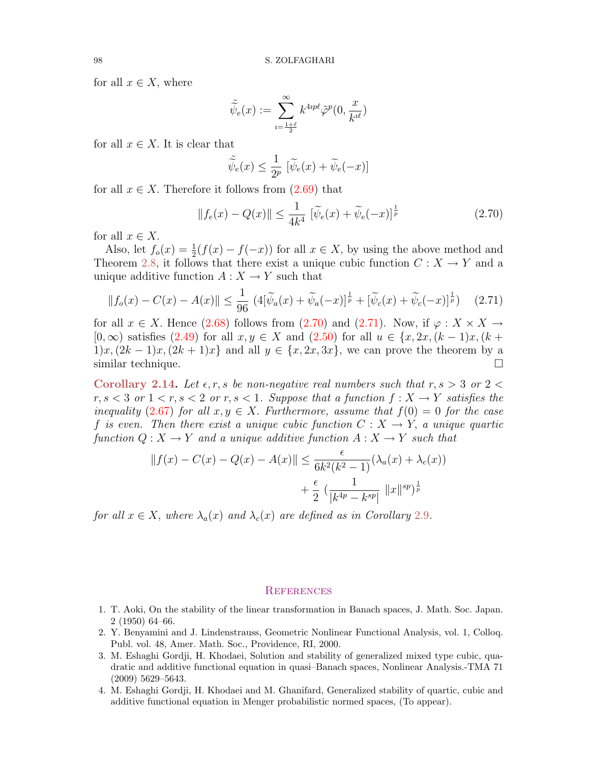for all  $x \in X$ , where

$$
\tilde{\tilde{\psi}_e}(x):=\sum_{\imath=\frac{1+\ell}{2}}^{\infty}k^{4\imath p\ell}\tilde{\varphi}^p(0,\frac{x}{k^{\imath \ell}})
$$

for all  $x \in X$ . It is clear that

<span id="page-14-4"></span>
$$
\tilde{\tilde{\psi}}_e(x) \le \frac{1}{2^p} \left[ \tilde{\psi}_e(x) + \tilde{\psi}_e(-x) \right]
$$

for all  $x \in X$ . Therefore it follows from  $(2.69)$  that

<span id="page-14-5"></span>
$$
||f_e(x) - Q(x)|| \le \frac{1}{4k^4} \left[ \tilde{\psi}_e(x) + \tilde{\psi}_e(-x) \right]^{\frac{1}{p}}
$$
 (2.70)

for all  $x \in X$ .

Also, let  $f_o(x) = \frac{1}{2}(f(x) - f(-x))$  for all  $x \in X$ , by using the above method and Theorem [2.8,](#page-9-5) it follows that there exist a unique cubic function  $C: X \to Y$  and a unique additive function  $A: X \to Y$  such that

$$
||f_o(x) - C(x) - A(x)|| \le \frac{1}{96} \left( 4[\widetilde{\psi}_a(x) + \widetilde{\psi}_a(-x)]^{\frac{1}{p}} + [\widetilde{\psi}_c(x) + \widetilde{\psi}_c(-x)]^{\frac{1}{p}} \right) \tag{2.71}
$$

for all  $x \in X$ . Hence  $(2.68)$  follows from  $(2.70)$  and  $(2.71)$ . Now, if  $\varphi : X \times X \rightarrow$  $[0,\infty)$  satisfies  $(2.49)$  for all  $x, y \in X$  and  $(2.50)$  for all  $u \in \{x, 2x, (k-1)x, (k+1)x, (k+1)x, (k+1)x\}$  $1)x,(2k-1)x,(2k+1)x$  and all  $y \in \{x,2x,3x\}$ , we can prove the theorem by a similar technique.

Corollary 2.14. Let  $\epsilon, r, s$  be non-negative real numbers such that  $r, s > 3$  or  $2 <$ r,  $s < 3$  or  $1 < r, s < 2$  or r,  $s < 1$ . Suppose that a function  $f: X \to Y$  satisfies the inequality (2.[67\)](#page-13-2) for all  $x, y \in X$ . Furthermore, assume that  $f(0) = 0$  for the case f is even. Then there exist a unique cubic function  $C: X \rightarrow Y$ , a unique quartic function  $Q: X \to Y$  and a unique additive function  $A: X \to Y$  such that

$$
||f(x) - C(x) - Q(x) - A(x)|| \leq \frac{\epsilon}{6k^2(k^2 - 1)} (\lambda_a(x) + \lambda_c(x)) + \frac{\epsilon}{2} \left( \frac{1}{|k^{4p} - k^{sp}|} ||x||^{sp} \right)^{\frac{1}{p}}
$$

for all  $x \in X$ , where  $\lambda_a(x)$  and  $\lambda_c(x)$  are defined as in Corollary [2](#page-11-9).9.

### **REFERENCES**

- <span id="page-14-0"></span>1. T. Aoki, On the stability of the linear transformation in Banach spaces, J. Math. Soc. Japan. 2 (1950) 64–66.
- <span id="page-14-1"></span>2. Y. Benyamini and J. Lindenstrauss, Geometric Nonlinear Functional Analysis, vol. 1, Colloq. Publ. vol. 48, Amer. Math. Soc., Providence, RI, 2000.
- <span id="page-14-2"></span>3. M. Eshaghi Gordji, H. Khodaei, Solution and stability of generalized mixed type cubic, quadratic and additive functional equation in quasi–Banach spaces, Nonlinear Analysis.-TMA 71 (2009) 5629–5643.
- <span id="page-14-3"></span>4. M. Eshaghi Gordji, H. Khodaei and M. Ghanifard, Generalized stability of quartic, cubic and additive functional equation in Menger probabilistic normed spaces, (To appear).